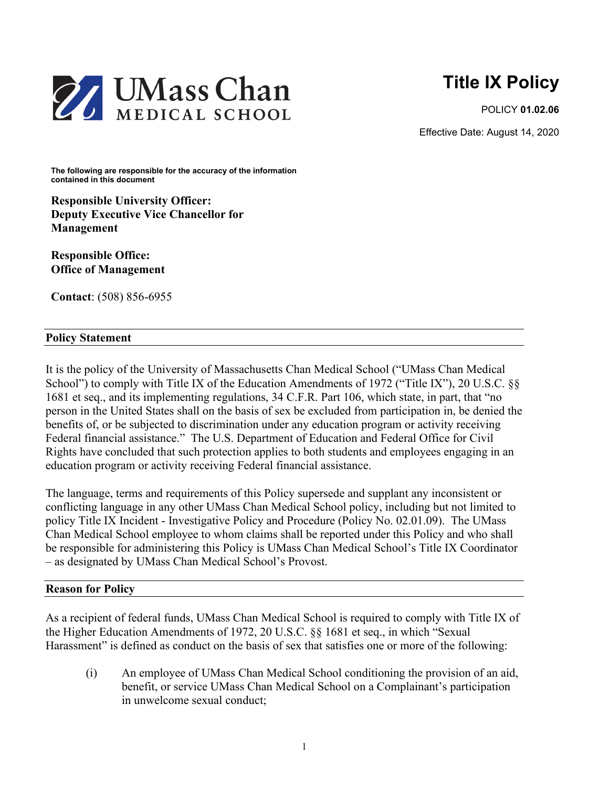

POLICY **01.02.06**

Effective Date: August 14, 2020



**The following are responsible for the accuracy of the information contained in this document**

**Responsible University Officer: Deputy Executive Vice Chancellor for Management** 

**Responsible Office: Office of Management** 

**Contact**: (508) 856-6955

## **Policy Statement**

It is the policy of the University of Massachusetts Chan Medical School ("UMass Chan Medical School") to comply with Title IX of the Education Amendments of 1972 ("Title IX"), 20 U.S.C. §§ 1681 et seq., and its implementing regulations, 34 C.F.R. Part 106, which state, in part, that "no person in the United States shall on the basis of sex be excluded from participation in, be denied the benefits of, or be subjected to discrimination under any education program or activity receiving Federal financial assistance." The U.S. Department of Education and Federal Office for Civil Rights have concluded that such protection applies to both students and employees engaging in an education program or activity receiving Federal financial assistance.

The language, terms and requirements of this Policy supersede and supplant any inconsistent or conflicting language in any other UMass Chan Medical School policy, including but not limited to policy Title IX Incident - Investigative Policy and Procedure (Policy No. 02.01.09). The UMass Chan Medical School employee to whom claims shall be reported under this Policy and who shall be responsible for administering this Policy is UMass Chan Medical School's Title IX Coordinator – as designated by UMass Chan Medical School's Provost.

## **Reason for Policy**

As a recipient of federal funds, UMass Chan Medical School is required to comply with Title IX of the Higher Education Amendments of 1972, 20 U.S.C. §§ 1681 et seq., in which "Sexual Harassment" is defined as conduct on the basis of sex that satisfies one or more of the following:

(i) An employee of UMass Chan Medical School conditioning the provision of an aid, benefit, or service UMass Chan Medical School on a Complainant's participation in unwelcome sexual conduct;